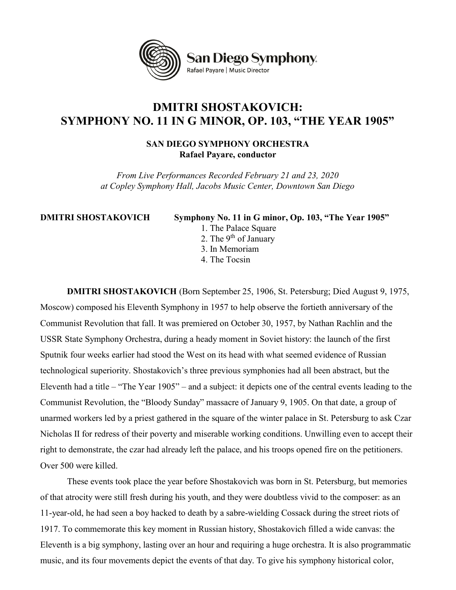

## DMITRI SHOSTAKOVICH: SYMPHONY NO. 11 IN G MINOR, OP. 103, "THE YEAR 1905"

## SAN DIEGO SYMPHONY ORCHESTRA Rafael Payare, conductor

From Live Performances Recorded February 21 and 23, 2020 at Copley Symphony Hall, Jacobs Music Center, Downtown San Diego

DMITRI SHOSTAKOVICH Symphony No. 11 in G minor, Op. 103, "The Year 1905"

- 1. The Palace Square
- 2. The  $9<sup>th</sup>$  of January
- 3. In Memoriam
- 4. The Tocsin

DMITRI SHOSTAKOVICH (Born September 25, 1906, St. Petersburg; Died August 9, 1975, Moscow) composed his Eleventh Symphony in 1957 to help observe the fortieth anniversary of the Communist Revolution that fall. It was premiered on October 30, 1957, by Nathan Rachlin and the USSR State Symphony Orchestra, during a heady moment in Soviet history: the launch of the first Sputnik four weeks earlier had stood the West on its head with what seemed evidence of Russian technological superiority. Shostakovich's three previous symphonies had all been abstract, but the Eleventh had a title – "The Year 1905" – and a subject: it depicts one of the central events leading to the Communist Revolution, the "Bloody Sunday" massacre of January 9, 1905. On that date, a group of unarmed workers led by a priest gathered in the square of the winter palace in St. Petersburg to ask Czar Nicholas II for redress of their poverty and miserable working conditions. Unwilling even to accept their right to demonstrate, the czar had already left the palace, and his troops opened fire on the petitioners. Over 500 were killed.

 These events took place the year before Shostakovich was born in St. Petersburg, but memories of that atrocity were still fresh during his youth, and they were doubtless vivid to the composer: as an 11-year-old, he had seen a boy hacked to death by a sabre-wielding Cossack during the street riots of 1917. To commemorate this key moment in Russian history, Shostakovich filled a wide canvas: the Eleventh is a big symphony, lasting over an hour and requiring a huge orchestra. It is also programmatic music, and its four movements depict the events of that day. To give his symphony historical color,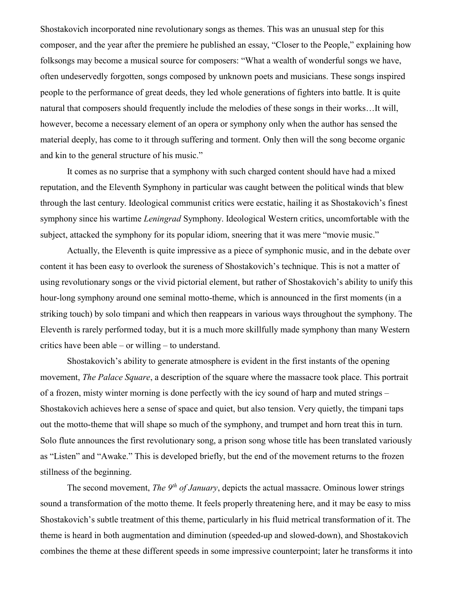Shostakovich incorporated nine revolutionary songs as themes. This was an unusual step for this composer, and the year after the premiere he published an essay, "Closer to the People," explaining how folksongs may become a musical source for composers: "What a wealth of wonderful songs we have, often undeservedly forgotten, songs composed by unknown poets and musicians. These songs inspired people to the performance of great deeds, they led whole generations of fighters into battle. It is quite natural that composers should frequently include the melodies of these songs in their works…It will, however, become a necessary element of an opera or symphony only when the author has sensed the material deeply, has come to it through suffering and torment. Only then will the song become organic and kin to the general structure of his music."

 It comes as no surprise that a symphony with such charged content should have had a mixed reputation, and the Eleventh Symphony in particular was caught between the political winds that blew through the last century. Ideological communist critics were ecstatic, hailing it as Shostakovich's finest symphony since his wartime *Leningrad* Symphony. Ideological Western critics, uncomfortable with the subject, attacked the symphony for its popular idiom, sneering that it was mere "movie music."

 Actually, the Eleventh is quite impressive as a piece of symphonic music, and in the debate over content it has been easy to overlook the sureness of Shostakovich's technique. This is not a matter of using revolutionary songs or the vivid pictorial element, but rather of Shostakovich's ability to unify this hour-long symphony around one seminal motto-theme, which is announced in the first moments (in a striking touch) by solo timpani and which then reappears in various ways throughout the symphony. The Eleventh is rarely performed today, but it is a much more skillfully made symphony than many Western critics have been able – or willing – to understand.

 Shostakovich's ability to generate atmosphere is evident in the first instants of the opening movement, The Palace Square, a description of the square where the massacre took place. This portrait of a frozen, misty winter morning is done perfectly with the icy sound of harp and muted strings – Shostakovich achieves here a sense of space and quiet, but also tension. Very quietly, the timpani taps out the motto-theme that will shape so much of the symphony, and trumpet and horn treat this in turn. Solo flute announces the first revolutionary song, a prison song whose title has been translated variously as "Listen" and "Awake." This is developed briefly, but the end of the movement returns to the frozen stillness of the beginning.

The second movement, The  $9<sup>th</sup>$  of January, depicts the actual massacre. Ominous lower strings sound a transformation of the motto theme. It feels properly threatening here, and it may be easy to miss Shostakovich's subtle treatment of this theme, particularly in his fluid metrical transformation of it. The theme is heard in both augmentation and diminution (speeded-up and slowed-down), and Shostakovich combines the theme at these different speeds in some impressive counterpoint; later he transforms it into